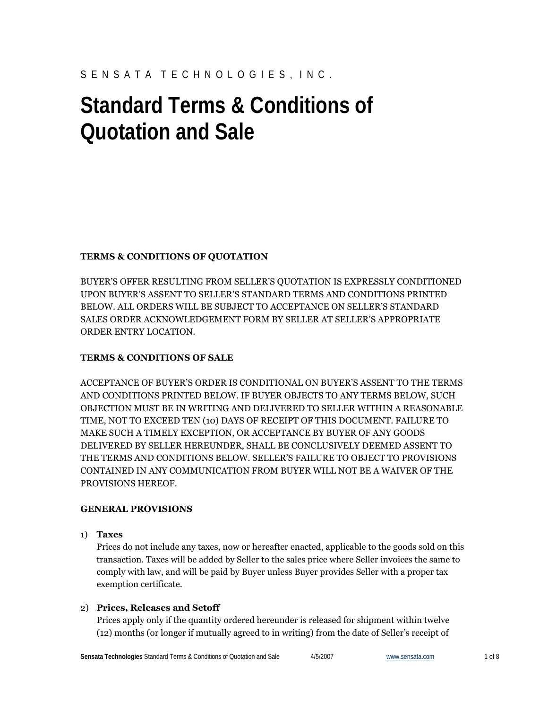## S E N S A T A T E C H N O L O G I E S , I N C .

# **Standard Terms & Conditions of Quotation and Sale**

## **TERMS & CONDITIONS OF QUOTATION**

BUYER'S OFFER RESULTING FROM SELLER'S QUOTATION IS EXPRESSLY CONDITIONED UPON BUYER'S ASSENT TO SELLER'S STANDARD TERMS AND CONDITIONS PRINTED BELOW. ALL ORDERS WILL BE SUBJECT TO ACCEPTANCE ON SELLER'S STANDARD SALES ORDER ACKNOWLEDGEMENT FORM BY SELLER AT SELLER'S APPROPRIATE ORDER ENTRY LOCATION.

## **TERMS & CONDITIONS OF SALE**

ACCEPTANCE OF BUYER'S ORDER IS CONDITIONAL ON BUYER'S ASSENT TO THE TERMS AND CONDITIONS PRINTED BELOW. IF BUYER OBJECTS TO ANY TERMS BELOW, SUCH OBJECTION MUST BE IN WRITING AND DELIVERED TO SELLER WITHIN A REASONABLE TIME, NOT TO EXCEED TEN (10) DAYS OF RECEIPT OF THIS DOCUMENT. FAILURE TO MAKE SUCH A TIMELY EXCEPTION, OR ACCEPTANCE BY BUYER OF ANY GOODS DELIVERED BY SELLER HEREUNDER, SHALL BE CONCLUSIVELY DEEMED ASSENT TO THE TERMS AND CONDITIONS BELOW. SELLER'S FAILURE TO OBJECT TO PROVISIONS CONTAINED IN ANY COMMUNICATION FROM BUYER WILL NOT BE A WAIVER OF THE PROVISIONS HEREOF.

## **GENERAL PROVISIONS**

## 1) **Taxes**

Prices do not include any taxes, now or hereafter enacted, applicable to the goods sold on this transaction. Taxes will be added by Seller to the sales price where Seller invoices the same to comply with law, and will be paid by Buyer unless Buyer provides Seller with a proper tax exemption certificate.

## 2) **Prices, Releases and Setoff**

Prices apply only if the quantity ordered hereunder is released for shipment within twelve (12) months (or longer if mutually agreed to in writing) from the date of Seller's receipt of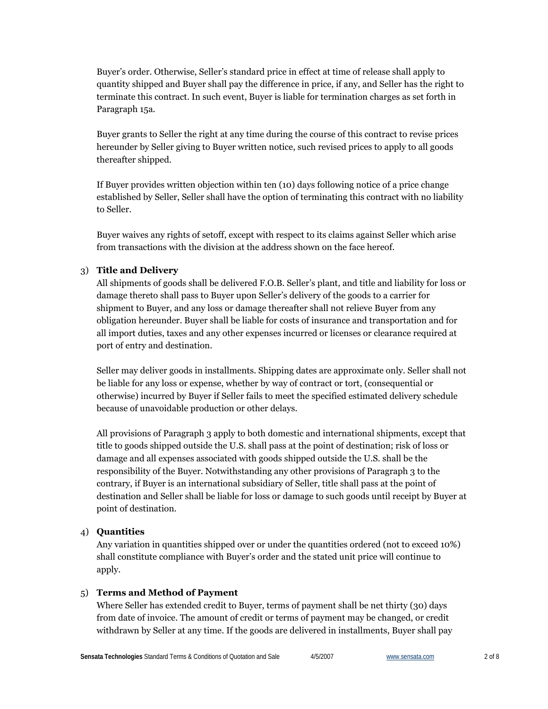Buyer's order. Otherwise, Seller's standard price in effect at time of release shall apply to quantity shipped and Buyer shall pay the difference in price, if any, and Seller has the right to terminate this contract. In such event, Buyer is liable for termination charges as set forth in Paragraph 15a.

Buyer grants to Seller the right at any time during the course of this contract to revise prices hereunder by Seller giving to Buyer written notice, such revised prices to apply to all goods thereafter shipped.

If Buyer provides written objection within ten (10) days following notice of a price change established by Seller, Seller shall have the option of terminating this contract with no liability to Seller.

Buyer waives any rights of setoff, except with respect to its claims against Seller which arise from transactions with the division at the address shown on the face hereof.

## 3) **Title and Delivery**

All shipments of goods shall be delivered F.O.B. Seller's plant, and title and liability for loss or damage thereto shall pass to Buyer upon Seller's delivery of the goods to a carrier for shipment to Buyer, and any loss or damage thereafter shall not relieve Buyer from any obligation hereunder. Buyer shall be liable for costs of insurance and transportation and for all import duties, taxes and any other expenses incurred or licenses or clearance required at port of entry and destination.

Seller may deliver goods in installments. Shipping dates are approximate only. Seller shall not be liable for any loss or expense, whether by way of contract or tort, (consequential or otherwise) incurred by Buyer if Seller fails to meet the specified estimated delivery schedule because of unavoidable production or other delays.

All provisions of Paragraph 3 apply to both domestic and international shipments, except that title to goods shipped outside the U.S. shall pass at the point of destination; risk of loss or damage and all expenses associated with goods shipped outside the U.S. shall be the responsibility of the Buyer. Notwithstanding any other provisions of Paragraph 3 to the contrary, if Buyer is an international subsidiary of Seller, title shall pass at the point of destination and Seller shall be liable for loss or damage to such goods until receipt by Buyer at point of destination.

## 4) **Quantities**

Any variation in quantities shipped over or under the quantities ordered (not to exceed 10%) shall constitute compliance with Buyer's order and the stated unit price will continue to apply.

#### 5) **Terms and Method of Payment**

Where Seller has extended credit to Buyer, terms of payment shall be net thirty (30) days from date of invoice. The amount of credit or terms of payment may be changed, or credit withdrawn by Seller at any time. If the goods are delivered in installments, Buyer shall pay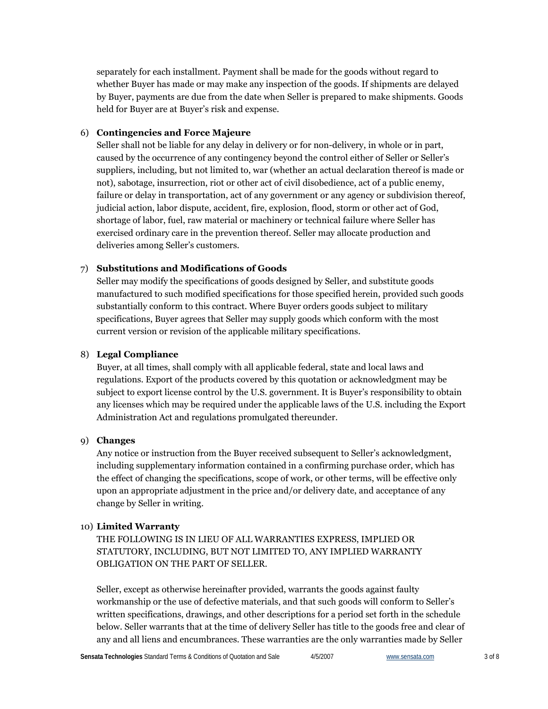separately for each installment. Payment shall be made for the goods without regard to whether Buyer has made or may make any inspection of the goods. If shipments are delayed by Buyer, payments are due from the date when Seller is prepared to make shipments. Goods held for Buyer are at Buyer's risk and expense.

#### 6) **Contingencies and Force Majeure**

Seller shall not be liable for any delay in delivery or for non-delivery, in whole or in part, caused by the occurrence of any contingency beyond the control either of Seller or Seller's suppliers, including, but not limited to, war (whether an actual declaration thereof is made or not), sabotage, insurrection, riot or other act of civil disobedience, act of a public enemy, failure or delay in transportation, act of any government or any agency or subdivision thereof, judicial action, labor dispute, accident, fire, explosion, flood, storm or other act of God, shortage of labor, fuel, raw material or machinery or technical failure where Seller has exercised ordinary care in the prevention thereof. Seller may allocate production and deliveries among Seller's customers.

#### 7) **Substitutions and Modifications of Goods**

Seller may modify the specifications of goods designed by Seller, and substitute goods manufactured to such modified specifications for those specified herein, provided such goods substantially conform to this contract. Where Buyer orders goods subject to military specifications, Buyer agrees that Seller may supply goods which conform with the most current version or revision of the applicable military specifications.

#### 8) **Legal Compliance**

Buyer, at all times, shall comply with all applicable federal, state and local laws and regulations. Export of the products covered by this quotation or acknowledgment may be subject to export license control by the U.S. government. It is Buyer's responsibility to obtain any licenses which may be required under the applicable laws of the U.S. including the Export Administration Act and regulations promulgated thereunder.

## 9) **Changes**

Any notice or instruction from the Buyer received subsequent to Seller's acknowledgment, including supplementary information contained in a confirming purchase order, which has the effect of changing the specifications, scope of work, or other terms, will be effective only upon an appropriate adjustment in the price and/or delivery date, and acceptance of any change by Seller in writing.

#### 10) **Limited Warranty**

THE FOLLOWING IS IN LIEU OF ALL WARRANTIES EXPRESS, IMPLIED OR STATUTORY, INCLUDING, BUT NOT LIMITED TO, ANY IMPLIED WARRANTY OBLIGATION ON THE PART OF SELLER.

Seller, except as otherwise hereinafter provided, warrants the goods against faulty workmanship or the use of defective materials, and that such goods will conform to Seller's written specifications, drawings, and other descriptions for a period set forth in the schedule below. Seller warrants that at the time of delivery Seller has title to the goods free and clear of any and all liens and encumbrances. These warranties are the only warranties made by Seller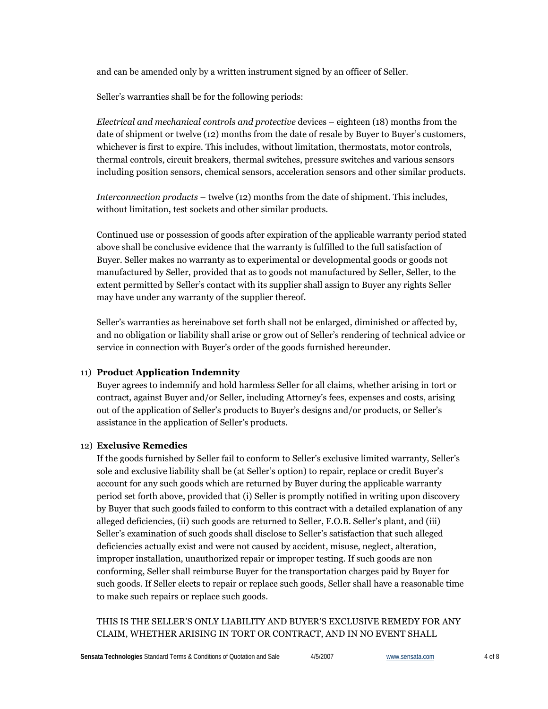and can be amended only by a written instrument signed by an officer of Seller.

Seller's warranties shall be for the following periods:

*Electrical and mechanical controls and protective* devices – eighteen (18) months from the date of shipment or twelve (12) months from the date of resale by Buyer to Buyer's customers, whichever is first to expire. This includes, without limitation, thermostats, motor controls, thermal controls, circuit breakers, thermal switches, pressure switches and various sensors including position sensors, chemical sensors, acceleration sensors and other similar products.

*Interconnection products* – twelve (12) months from the date of shipment. This includes, without limitation, test sockets and other similar products.

Continued use or possession of goods after expiration of the applicable warranty period stated above shall be conclusive evidence that the warranty is fulfilled to the full satisfaction of Buyer. Seller makes no warranty as to experimental or developmental goods or goods not manufactured by Seller, provided that as to goods not manufactured by Seller, Seller, to the extent permitted by Seller's contact with its supplier shall assign to Buyer any rights Seller may have under any warranty of the supplier thereof.

Seller's warranties as hereinabove set forth shall not be enlarged, diminished or affected by, and no obligation or liability shall arise or grow out of Seller's rendering of technical advice or service in connection with Buyer's order of the goods furnished hereunder.

## 11) **Product Application Indemnity**

Buyer agrees to indemnify and hold harmless Seller for all claims, whether arising in tort or contract, against Buyer and/or Seller, including Attorney's fees, expenses and costs, arising out of the application of Seller's products to Buyer's designs and/or products, or Seller's assistance in the application of Seller's products.

## 12) **Exclusive Remedies**

If the goods furnished by Seller fail to conform to Seller's exclusive limited warranty, Seller's sole and exclusive liability shall be (at Seller's option) to repair, replace or credit Buyer's account for any such goods which are returned by Buyer during the applicable warranty period set forth above, provided that (i) Seller is promptly notified in writing upon discovery by Buyer that such goods failed to conform to this contract with a detailed explanation of any alleged deficiencies, (ii) such goods are returned to Seller, F.O.B. Seller's plant, and (iii) Seller's examination of such goods shall disclose to Seller's satisfaction that such alleged deficiencies actually exist and were not caused by accident, misuse, neglect, alteration, improper installation, unauthorized repair or improper testing. If such goods are non conforming, Seller shall reimburse Buyer for the transportation charges paid by Buyer for such goods. If Seller elects to repair or replace such goods, Seller shall have a reasonable time to make such repairs or replace such goods.

THIS IS THE SELLER'S ONLY LIABILITY AND BUYER'S EXCLUSIVE REMEDY FOR ANY CLAIM, WHETHER ARISING IN TORT OR CONTRACT, AND IN NO EVENT SHALL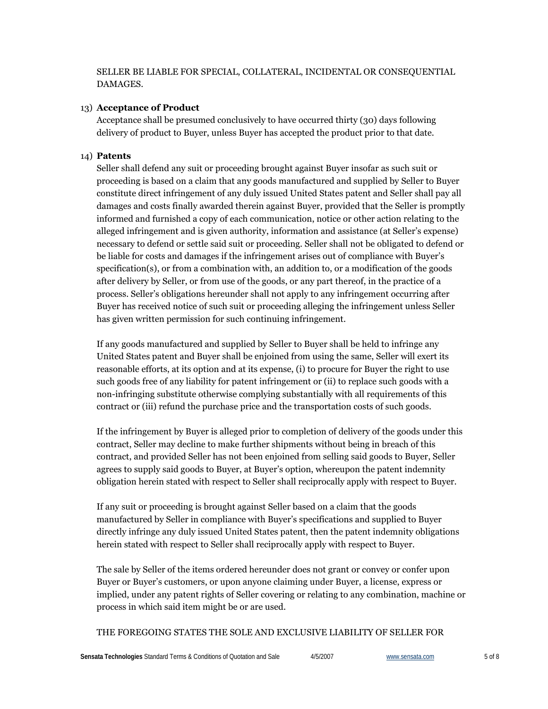SELLER BE LIABLE FOR SPECIAL, COLLATERAL, INCIDENTAL OR CONSEQUENTIAL DAMAGES.

#### 13) **Acceptance of Product**

Acceptance shall be presumed conclusively to have occurred thirty (30) days following delivery of product to Buyer, unless Buyer has accepted the product prior to that date.

#### 14) **Patents**

Seller shall defend any suit or proceeding brought against Buyer insofar as such suit or proceeding is based on a claim that any goods manufactured and supplied by Seller to Buyer constitute direct infringement of any duly issued United States patent and Seller shall pay all damages and costs finally awarded therein against Buyer, provided that the Seller is promptly informed and furnished a copy of each communication, notice or other action relating to the alleged infringement and is given authority, information and assistance (at Seller's expense) necessary to defend or settle said suit or proceeding. Seller shall not be obligated to defend or be liable for costs and damages if the infringement arises out of compliance with Buyer's specification(s), or from a combination with, an addition to, or a modification of the goods after delivery by Seller, or from use of the goods, or any part thereof, in the practice of a process. Seller's obligations hereunder shall not apply to any infringement occurring after Buyer has received notice of such suit or proceeding alleging the infringement unless Seller has given written permission for such continuing infringement.

If any goods manufactured and supplied by Seller to Buyer shall be held to infringe any United States patent and Buyer shall be enjoined from using the same, Seller will exert its reasonable efforts, at its option and at its expense, (i) to procure for Buyer the right to use such goods free of any liability for patent infringement or (ii) to replace such goods with a non-infringing substitute otherwise complying substantially with all requirements of this contract or (iii) refund the purchase price and the transportation costs of such goods.

If the infringement by Buyer is alleged prior to completion of delivery of the goods under this contract, Seller may decline to make further shipments without being in breach of this contract, and provided Seller has not been enjoined from selling said goods to Buyer, Seller agrees to supply said goods to Buyer, at Buyer's option, whereupon the patent indemnity obligation herein stated with respect to Seller shall reciprocally apply with respect to Buyer.

If any suit or proceeding is brought against Seller based on a claim that the goods manufactured by Seller in compliance with Buyer's specifications and supplied to Buyer directly infringe any duly issued United States patent, then the patent indemnity obligations herein stated with respect to Seller shall reciprocally apply with respect to Buyer.

The sale by Seller of the items ordered hereunder does not grant or convey or confer upon Buyer or Buyer's customers, or upon anyone claiming under Buyer, a license, express or implied, under any patent rights of Seller covering or relating to any combination, machine or process in which said item might be or are used.

#### THE FOREGOING STATES THE SOLE AND EXCLUSIVE LIABILITY OF SELLER FOR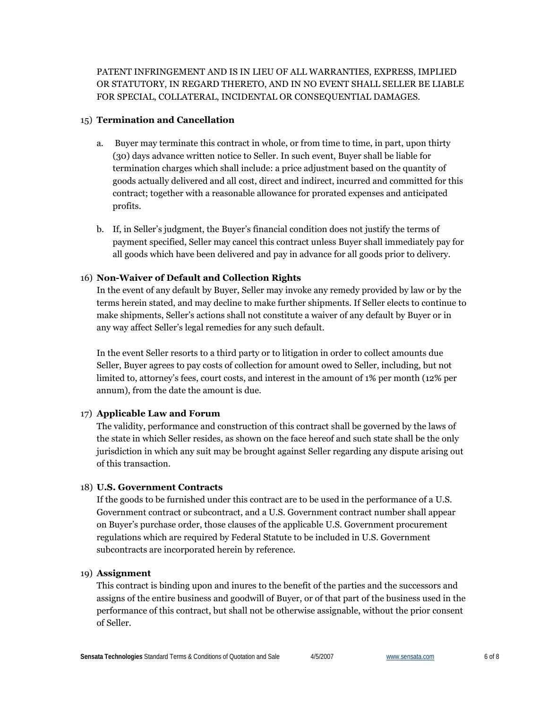PATENT INFRINGEMENT AND IS IN LIEU OF ALL WARRANTIES, EXPRESS, IMPLIED OR STATUTORY, IN REGARD THERETO, AND IN NO EVENT SHALL SELLER BE LIABLE FOR SPECIAL, COLLATERAL, INCIDENTAL OR CONSEQUENTIAL DAMAGES.

## 15) **Termination and Cancellation**

- a. Buyer may terminate this contract in whole, or from time to time, in part, upon thirty (30) days advance written notice to Seller. In such event, Buyer shall be liable for termination charges which shall include: a price adjustment based on the quantity of goods actually delivered and all cost, direct and indirect, incurred and committed for this contract; together with a reasonable allowance for prorated expenses and anticipated profits.
- b. If, in Seller's judgment, the Buyer's financial condition does not justify the terms of payment specified, Seller may cancel this contract unless Buyer shall immediately pay for all goods which have been delivered and pay in advance for all goods prior to delivery.

## 16) **Non-Waiver of Default and Collection Rights**

In the event of any default by Buyer, Seller may invoke any remedy provided by law or by the terms herein stated, and may decline to make further shipments. If Seller elects to continue to make shipments, Seller's actions shall not constitute a waiver of any default by Buyer or in any way affect Seller's legal remedies for any such default.

In the event Seller resorts to a third party or to litigation in order to collect amounts due Seller, Buyer agrees to pay costs of collection for amount owed to Seller, including, but not limited to, attorney's fees, court costs, and interest in the amount of 1% per month (12% per annum), from the date the amount is due.

## 17) **Applicable Law and Forum**

The validity, performance and construction of this contract shall be governed by the laws of the state in which Seller resides, as shown on the face hereof and such state shall be the only jurisdiction in which any suit may be brought against Seller regarding any dispute arising out of this transaction.

## 18) **U.S. Government Contracts**

If the goods to be furnished under this contract are to be used in the performance of a U.S. Government contract or subcontract, and a U.S. Government contract number shall appear on Buyer's purchase order, those clauses of the applicable U.S. Government procurement regulations which are required by Federal Statute to be included in U.S. Government subcontracts are incorporated herein by reference.

## 19) **Assignment**

This contract is binding upon and inures to the benefit of the parties and the successors and assigns of the entire business and goodwill of Buyer, or of that part of the business used in the performance of this contract, but shall not be otherwise assignable, without the prior consent of Seller.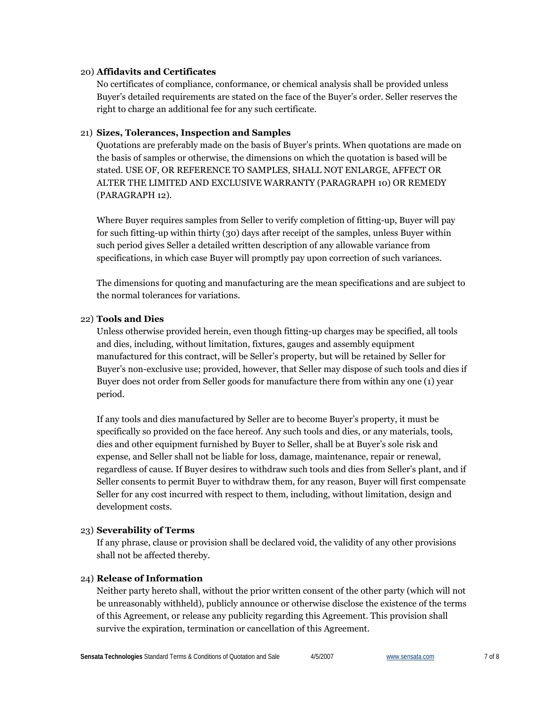#### 20) **Affidavits and Certificates**

No certificates of compliance, conformance, or chemical analysis shall be provided unless Buyer's detailed requirements are stated on the face of the Buyer's order. Seller reserves the right to charge an additional fee for any such certificate.

## 21) **Sizes, Tolerances, Inspection and Samples**

Quotations are preferably made on the basis of Buyer's prints. When quotations are made on the basis of samples or otherwise, the dimensions on which the quotation is based will be stated. USE OF, OR REFERENCE TO SAMPLES, SHALL NOT ENLARGE, AFFECT OR ALTER THE LIMITED AND EXCLUSIVE WARRANTY (PARAGRAPH 10) OR REMEDY (PARAGRAPH 12).

Where Buyer requires samples from Seller to verify completion of fitting-up, Buyer will pay for such fitting-up within thirty (30) days after receipt of the samples, unless Buyer within such period gives Seller a detailed written description of any allowable variance from specifications, in which case Buyer will promptly pay upon correction of such variances.

The dimensions for quoting and manufacturing are the mean specifications and are subject to the normal tolerances for variations.

#### 22) **Tools and Dies**

Unless otherwise provided herein, even though fitting-up charges may be specified, all tools and dies, including, without limitation, fixtures, gauges and assembly equipment manufactured for this contract, will be Seller's property, but will be retained by Seller for Buyer's non-exclusive use; provided, however, that Seller may dispose of such tools and dies if Buyer does not order from Seller goods for manufacture there from within any one (1) year period.

If any tools and dies manufactured by Seller are to become Buyer's property, it must be specifically so provided on the face hereof. Any such tools and dies, or any materials, tools, dies and other equipment furnished by Buyer to Seller, shall be at Buyer's sole risk and expense, and Seller shall not be liable for loss, damage, maintenance, repair or renewal, regardless of cause. If Buyer desires to withdraw such tools and dies from Seller's plant, and if Seller consents to permit Buyer to withdraw them, for any reason, Buyer will first compensate Seller for any cost incurred with respect to them, including, without limitation, design and development costs.

## 23) **Severability of Terms**

If any phrase, clause or provision shall be declared void, the validity of any other provisions shall not be affected thereby.

## 24) **Release of Information**

Neither party hereto shall, without the prior written consent of the other party (which will not be unreasonably withheld), publicly announce or otherwise disclose the existence of the terms of this Agreement, or release any publicity regarding this Agreement. This provision shall survive the expiration, termination or cancellation of this Agreement.